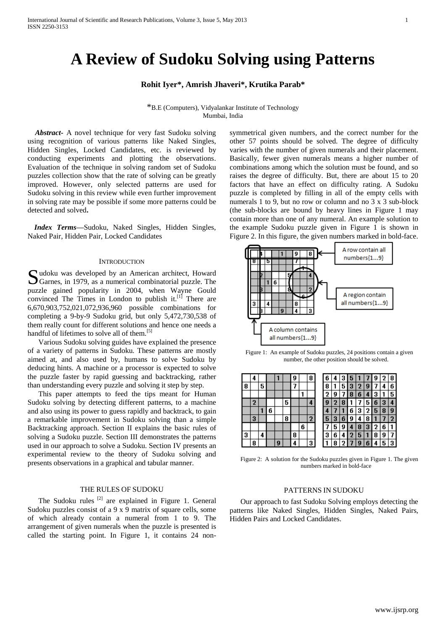# **A Review of Sudoku Solving using Patterns**

**Rohit Iyer\*, Amrish Jhaveri\*, Krutika Parab\***

\*B.E (Computers), Vidyalankar Institute of Technology Mumbai, India

 *Abstract***-** A novel technique for very fast Sudoku solving using recognition of various patterns like Naked Singles, Hidden Singles, Locked Candidates, etc. is reviewed by conducting experiments and plotting the observations. Evaluation of the technique in solving random set of Sudoku puzzles collection show that the rate of solving can be greatly improved. However, only selected patterns are used for Sudoku solving in this review while even further improvement in solving rate may be possible if some more patterns could be detected and solved**.**

*Index Terms***—**Sudoku, Naked Singles, Hidden Singles, Naked Pair, Hidden Pair, Locked Candidates

## **INTRODUCTION**

Sudoku was developed by an American architect, Howard Garnes, in 1979, as a numerical combinatorial puzzle. The Garnes, in 1979, as a numerical combinatorial puzzle. The puzzle gained popularity in 2004, when Wayne Gould convinced The Times in London to publish it. $[1]$  There are 6,670,903,752,021,072,936,960 possible combinations for completing a 9-by-9 Sudoku grid, but only 5,472,730,538 of them really count for different solutions and hence one needs a handful of lifetimes to solve all of them.<sup>[5]</sup>

Various Sudoku solving guides have explained the presence of a variety of patterns in Sudoku. These patterns are mostly aimed at, and also used by, humans to solve Sudoku by deducing hints. A machine or a processor is expected to solve the puzzle faster by rapid guessing and backtracking, rather than understanding every puzzle and solving it step by step.

This paper attempts to feed the tips meant for Human Sudoku solving by detecting different patterns, to a machine and also using its power to guess rapidly and backtrack, to gain a remarkable improvement in Sudoku solving than a simple Backtracking approach. Section II explains the basic rules of solving a Sudoku puzzle. Section III demonstrates the patterns used in our approach to solve a Sudoku. Section IV presents an experimental review to the theory of Sudoku solving and presents observations in a graphical and tabular manner.

## THE RULES OF SUDOKU

The Sudoku rules  $^{[2]}$  are explained in Figure 1. General Sudoku puzzles consist of a 9 x 9 matrix of square cells, some of which already contain a numeral from 1 to 9. The arrangement of given numerals when the puzzle is presented is called the starting point. In Figure 1, it contains 24 non-

symmetrical given numbers, and the correct number for the other 57 points should be solved. The degree of difficulty varies with the number of given numerals and their placement. Basically, fewer given numerals means a higher number of combinations among which the solution must be found, and so raises the degree of difficulty. But, there are about 15 to 20 factors that have an effect on difficulty rating. A Sudoku puzzle is completed by filling in all of the empty cells with numerals 1 to 9, but no row or column and no 3 x 3 sub-block (the sub-blocks are bound by heavy lines in Figure 1 may contain more than one of any numeral. An example solution to the example Sudoku puzzle given in Figure 1 is shown in Figure 2. In this figure, the given numbers marked in bold-face.



Figure 1: An example of Sudoku puzzles, 24 positions contain a given number, the other position should be solved.

|   | 4 |   |   |   |   | 9 |   | 8 | 6 |   | ū | Ð |   |   | 9 | 2 | 8  |
|---|---|---|---|---|---|---|---|---|---|---|---|---|---|---|---|---|----|
| 8 |   | 5 |   |   |   |   |   |   | 8 |   | 5 | э |   | g |   | ٠ | 6  |
|   |   |   |   |   |   |   |   |   | ŋ | 9 |   | C | n |   | 3 |   | 5  |
|   | 2 |   |   |   | 5 |   |   | 4 | g |   | о |   |   | 5 | 6 | 3 |    |
|   |   |   | 6 |   |   |   |   |   |   |   |   | 6 | 3 | ŋ | 5 | 8 | 9  |
|   | 3 |   |   |   | 8 |   |   | 2 | 5 | 3 | Ô | g |   | 8 |   |   | 2. |
|   |   |   |   |   |   |   | 6 |   |   | 5 | y |   | 8 | 3 | 2 | 6 |    |
| 3 |   | 4 |   |   |   | 8 |   |   | 3 | 6 | 4 | 2 | b |   | 8 | 9 |    |
|   | 8 |   |   | 9 |   | 4 |   | 3 |   | 8 |   |   | g | 6 | л | 5 | 3  |

Figure 2: A solution for the Sudoku puzzles given in Figure 1. The given numbers marked in bold-face

## PATTERNS IN SUDOKU

Our approach to fast Sudoku Solving employs detecting the patterns like Naked Singles, Hidden Singles, Naked Pairs, Hidden Pairs and Locked Candidates.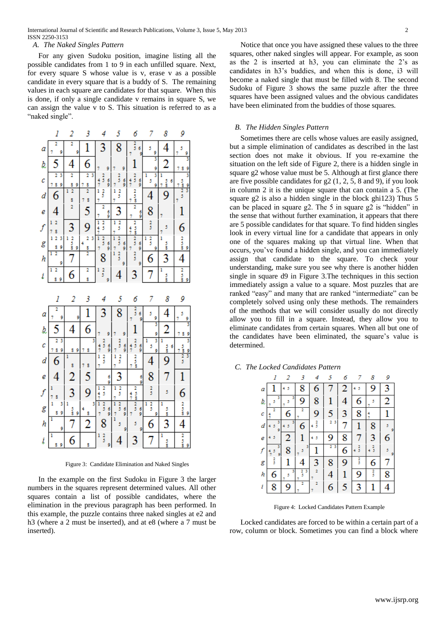## *A. The Naked Singles Pattern*

For any given Sudoku position, imagine listing all the possible candidates from 1 to 9 in each unfilled square. Next, for every square S whose value is v, erase v as a possible candidate in every square that is a buddy of S. The remaining values in each square are candidates for that square. When this is done, if only a single candidate v remains in square S, we can assign the value v to S. This situation is referred to as a "naked single".



Figure 3: Candidate Elimination and Naked Singles

In the example on the first Sudoku in Figure 3 the larger numbers in the squares represent determined values. All other squares contain a list of possible candidates, where the elimination in the previous paragraph has been performed. In this example, the puzzle contains three naked singles at e2 and h3 (where a 2 must be inserted), and at e8 (where a 7 must be inserted).

Notice that once you have assigned these values to the three squares, other naked singles will appear. For example, as soon as the 2 is inserted at h3, you can eliminate the 2's as candidates in h3's buddies, and when this is done, i3 will become a naked single that must be filled with 8. The second Sudoku of Figure 3 shows the same puzzle after the three squares have been assigned values and the obvious candidates have been eliminated from the buddies of those squares.

## *B. The Hidden Singles Pattern*

Sometimes there are cells whose values are easily assigned, but a simple elimination of candidates as described in the last section does not make it obvious. If you re-examine the situation on the left side of Figure 2, there is a hidden single in square g2 whose value must be 5. Although at first glance there are five possible candidates for g2 (1, 2, 5, 8 and 9), if you look in column 2 it is the unique square that can contain a 5. (The square g2 is also a hidden single in the block ghi123) Thus 5 can be placed in square g2. The 5 in square g2 is "hidden" in the sense that without further examination, it appears that there are 5 possible candidates for that square. To find hidden singles look in every virtual line for a candidate that appears in only one of the squares making up that virtual line. When that occurs, you've found a hidden single, and you can immediately assign that candidate to the square. To check your understanding, make sure you see why there is another hidden single in square d9 in Figure 3.The techniques in this section immediately assign a value to a square. Most puzzles that are ranked "easy" and many that are ranked "intermediate" can be completely solved using only these methods. The remainders of the methods that we will consider usually do not directly allow you to fill in a square. Instead, they allow you to eliminate candidates from certain squares. When all but one of the candidates have been eliminated, the square's value is determined.

|  |  |  | C. The Locked Candidates Pattern |  |
|--|--|--|----------------------------------|--|
|--|--|--|----------------------------------|--|

|   |        | 2      | 3      |               | 5                   |   |               | 8             | 9      |
|---|--------|--------|--------|---------------|---------------------|---|---------------|---------------|--------|
| а |        |        | 8      | 6             |                     | 2 |               | 9             | 3      |
| b | 5<br>7 | 5<br>7 | 9      | 8             |                     | 4 | 6             | 5             | 2      |
| с |        | 6      | 7      | 9             | 5                   | 3 | 8             |               | 1      |
| d | 5<br>9 |        | 6      | $\frac{2}{5}$ | 3<br>$\overline{2}$ |   |               | 8             | 5<br>9 |
| е | 5      | 2      |        | 5             | 9                   | 8 |               | 3             | 6      |
| f | 9      | 8      | 3<br>5 |               | 3<br>2              | 6 | $\frac{2}{3}$ | $\frac{2}{3}$ | 5<br>9 |
| g | 3      | 1      | 4      | 3             | 8                   | 9 | $\frac{2}{5}$ | 6             | 7      |
| h | 6      | 3<br>5 | 3<br>3 | 2<br>7        | 4                   |   | 9             | 3             | 8      |
| Ĩ | 8      | 9      | 2<br>7 | 7             | 6                   | 5 | 3             |               | 4      |

Figure 4: Locked Candidates Pattern Example

Locked candidates are forced to be within a certain part of a row, column or block. Sometimes you can find a block where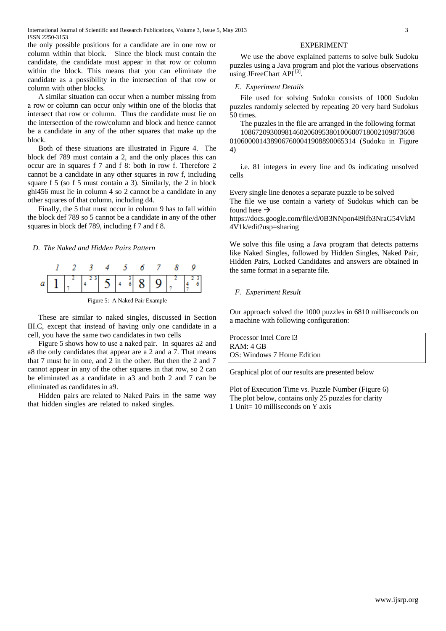International Journal of Scientific and Research Publications, Volume 3, Issue 5, May 2013 3 ISSN 2250-3153

the only possible positions for a candidate are in one row or column within that block. Since the block must contain the candidate, the candidate must appear in that row or column within the block. This means that you can eliminate the candidate as a possibility in the intersection of that row or column with other blocks.

A similar situation can occur when a number missing from a row or column can occur only within one of the blocks that intersect that row or column. Thus the candidate must lie on the intersection of the row/column and block and hence cannot be a candidate in any of the other squares that make up the block.

Both of these situations are illustrated in Figure 4. The block def 789 must contain a 2, and the only places this can occur are in squares f 7 and f 8: both in row f. Therefore 2 cannot be a candidate in any other squares in row f, including square f 5 (so f 5 must contain a 3). Similarly, the 2 in block ghi456 must lie in column 4 so 2 cannot be a candidate in any other squares of that column, including d4.

Finally, the 5 that must occur in column 9 has to fall within the block def 789 so 5 cannot be a candidate in any of the other squares in block def 789, including f 7 and f 8.

*D. The Naked and Hidden Pairs Pattern*



Figure 5: A Naked Pair Example

These are similar to naked singles, discussed in Section III.C, except that instead of having only one candidate in a cell, you have the same two candidatesin two cells

Figure 5 shows how to use a naked pair. In squares a2 and a8 the only candidates that appear are a 2 and a 7. That means that 7 must be in one, and 2 in the other. But then the 2 and 7 cannot appear in any of the other squares in that row, so 2 can be eliminated as a candidate in a3 and both 2 and 7 can be eliminated as candidates in a9.

Hidden pairs are related to Naked Pairs in the same way that hidden singles are related to naked singles.

## EXPERIMENT

We use the above explained patterns to solve bulk Sudoku puzzles using a Java program and plot the various observations using JFreeChart API<sup>[3]</sup>.

## *E. Experiment Details*

File used for solving Sudoku consists of 1000 Sudoku puzzles randomly selected by repeating 20 very hard Sudokus 50 times.

The puzzles in the file are arranged in the following format

10867209300981460206095380100600718002109873608 0106000014389067600041908890065314 (Sudoku in Figure 4)

i.e. 81 integers in every line and 0s indicating unsolved cells

Every single line denotes a separate puzzle to be solved The file we use contain a variety of Sudokus which can be found here  $\rightarrow$ 

[https://docs.google.com/file/d/0B3NNpon4i9lfb3NraG54VkM](https://docs.google.com/file/d/0B3NNpon4i9lfb3NraG54VkM4V1k/edit?usp=sharing) [4V1k/edit?usp=sharing](https://docs.google.com/file/d/0B3NNpon4i9lfb3NraG54VkM4V1k/edit?usp=sharing)

We solve this file using a Java program that detects patterns like Naked Singles, followed by Hidden Singles, Naked Pair, Hidden Pairs, Locked Candidates and answers are obtained in the same format in a separate file.

## *F. Experiment Result*

Our approach solved the 1000 puzzles in 6810 milliseconds on a machine with following configuration:

Processor Intel Core i3 RAM: 4 GB OS: Windows 7 Home Edition

Graphical plot of our results are presented below

Plot of Execution Time vs. Puzzle Number (Figure 6) The plot below, contains only 25 puzzles for clarity 1 Unit= 10 milliseconds on  $\overline{Y}$  axis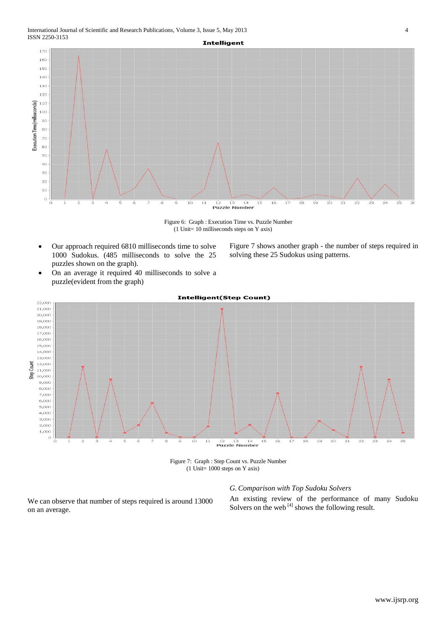

Figure 6: Graph : Execution Time vs. Puzzle Number (1 Unit= 10 milliseconds steps on Y axis)

- Our approach required 6810 milliseconds time to solve 1000 Sudokus. (485 milliseconds to solve the 25 puzzles shown on the graph).
- On an average it required 40 milliseconds to solve a puzzle(evident from the graph)



Figure 7: Graph : Step Count vs. Puzzle Number

(1 Unit= 1000 steps on Y axis)

## *G. Comparison with Top Sudoku Solvers*

We can observe that number of steps required is around 13000 on an average.

An existing review of the performance of many Sudoku Solvers on the web  $^{[4]}$  shows the following result.

Figure 7 shows another graph - the number of steps required in

solving these 25 Sudokus using patterns.